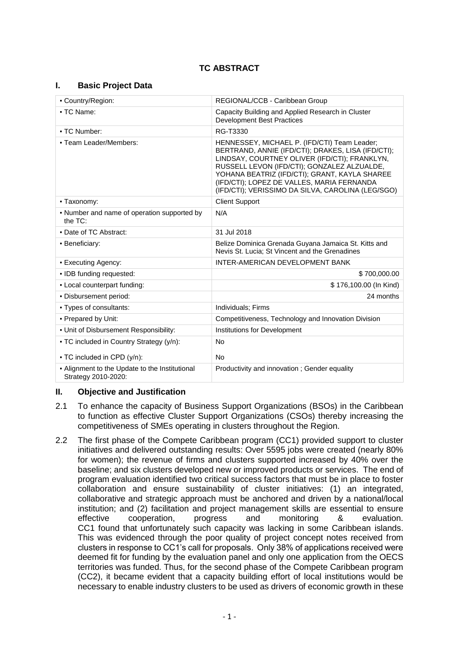# **TC ABSTRACT**

## **I. Basic Project Data**

| - Country/Region:                                                       | REGIONAL/CCB - Caribbean Group                                                                                                                                                                                                                                                                                                                         |  |
|-------------------------------------------------------------------------|--------------------------------------------------------------------------------------------------------------------------------------------------------------------------------------------------------------------------------------------------------------------------------------------------------------------------------------------------------|--|
| - TC Name:                                                              | Capacity Building and Applied Research in Cluster<br><b>Development Best Practices</b>                                                                                                                                                                                                                                                                 |  |
| - TC Number:                                                            | RG-T3330                                                                                                                                                                                                                                                                                                                                               |  |
| - Team Leader/Members:                                                  | HENNESSEY, MICHAEL P. (IFD/CTI) Team Leader;<br>BERTRAND, ANNIE (IFD/CTI); DRAKES, LISA (IFD/CTI);<br>LINDSAY, COURTNEY OLIVER (IFD/CTI); FRANKLYN,<br>RUSSELL LEVON (IFD/CTI); GONZALEZ ALZUALDE,<br>YOHANA BEATRIZ (IFD/CTI); GRANT, KAYLA SHAREE<br>(IFD/CTI); LOPEZ DE VALLES, MARIA FERNANDA<br>(IFD/CTI); VERISSIMO DA SILVA, CAROLINA (LEG/SGO) |  |
| - Taxonomy:                                                             | <b>Client Support</b>                                                                                                                                                                                                                                                                                                                                  |  |
| • Number and name of operation supported by<br>the TC:                  | N/A                                                                                                                                                                                                                                                                                                                                                    |  |
| • Date of TC Abstract:                                                  | 31 Jul 2018                                                                                                                                                                                                                                                                                                                                            |  |
| • Beneficiary:                                                          | Belize Dominica Grenada Guyana Jamaica St. Kitts and<br>Nevis St. Lucia; St Vincent and the Grenadines                                                                                                                                                                                                                                                 |  |
| - Executing Agency:                                                     | INTER-AMERICAN DEVELOPMENT BANK                                                                                                                                                                                                                                                                                                                        |  |
| · IDB funding requested:                                                | \$700,000.00                                                                                                                                                                                                                                                                                                                                           |  |
| - Local counterpart funding:                                            | \$176,100.00 (In Kind)                                                                                                                                                                                                                                                                                                                                 |  |
| - Disbursement period:                                                  | 24 months                                                                                                                                                                                                                                                                                                                                              |  |
| • Types of consultants:                                                 | Individuals; Firms                                                                                                                                                                                                                                                                                                                                     |  |
| - Prepared by Unit:                                                     | Competitiveness, Technology and Innovation Division                                                                                                                                                                                                                                                                                                    |  |
| - Unit of Disbursement Responsibility:                                  | Institutions for Development                                                                                                                                                                                                                                                                                                                           |  |
| - TC included in Country Strategy (y/n):<br>• TC included in CPD (y/n): | No<br><b>No</b>                                                                                                                                                                                                                                                                                                                                        |  |
| - Alignment to the Update to the Institutional<br>Strategy 2010-2020:   | Productivity and innovation; Gender equality                                                                                                                                                                                                                                                                                                           |  |

## **II. Objective and Justification**

- 2.1 To enhance the capacity of Business Support Organizations (BSOs) in the Caribbean to function as effective Cluster Support Organizations (CSOs) thereby increasing the competitiveness of SMEs operating in clusters throughout the Region.
- 2.2 The first phase of the Compete Caribbean program (CC1) provided support to cluster initiatives and delivered outstanding results: Over 5595 jobs were created (nearly 80% for women); the revenue of firms and clusters supported increased by 40% over the baseline; and six clusters developed new or improved products or services. The end of program evaluation identified two critical success factors that must be in place to foster collaboration and ensure sustainability of cluster initiatives: (1) an integrated, collaborative and strategic approach must be anchored and driven by a national/local institution; and (2) facilitation and project management skills are essential to ensure effective cooperation, progress and monitoring & evaluation. CC1 found that unfortunately such capacity was lacking in some Caribbean islands. This was evidenced through the poor quality of project concept notes received from clusters in response to CC1's call for proposals. Only 38% of applications received were deemed fit for funding by the evaluation panel and only one application from the OECS territories was funded. Thus, for the second phase of the Compete Caribbean program (CC2), it became evident that a capacity building effort of local institutions would be necessary to enable industry clusters to be used as drivers of economic growth in these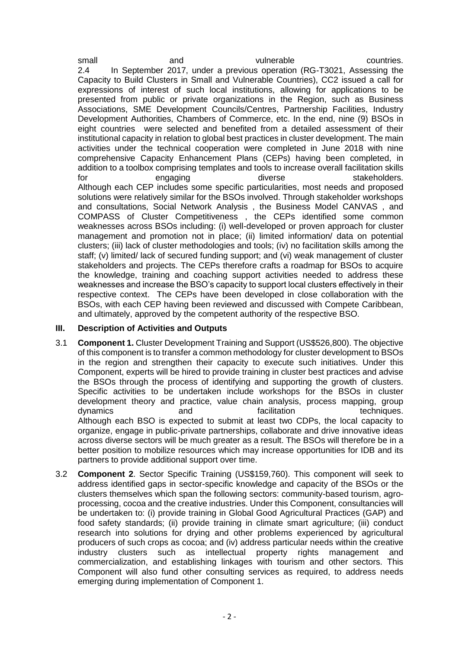small and vulnerable countries. 2.4 In September 2017, under a previous operation (RG-T3021, Assessing the Capacity to Build Clusters in Small and Vulnerable Countries), CC2 issued a call for expressions of interest of such local institutions, allowing for applications to be presented from public or private organizations in the Region, such as Business Associations, SME Development Councils/Centres, Partnership Facilities, Industry Development Authorities, Chambers of Commerce, etc. In the end, nine (9) BSOs in eight countries were selected and benefited from a detailed assessment of their institutional capacity in relation to global best practices in cluster development. The main activities under the technical cooperation were completed in June 2018 with nine comprehensive Capacity Enhancement Plans (CEPs) having been completed, in addition to a toolbox comprising templates and tools to increase overall facilitation skills for engaging diverse stakeholders. Although each CEP includes some specific particularities, most needs and proposed solutions were relatively similar for the BSOs involved. Through stakeholder workshops and consultations, Social Network Analysis , the Business Model CANVAS , and COMPASS of Cluster Competitiveness , the CEPs identified some common weaknesses across BSOs including: (i) well-developed or proven approach for cluster management and promotion not in place; (ii) limited information/ data on potential clusters; (iii) lack of cluster methodologies and tools; (iv) no facilitation skills among the staff; (v) limited/ lack of secured funding support; and (vi) weak management of cluster stakeholders and projects. The CEPs therefore crafts a roadmap for BSOs to acquire the knowledge, training and coaching support activities needed to address these weaknesses and increase the BSO's capacity to support local clusters effectively in their respective context. The CEPs have been developed in close collaboration with the BSOs, with each CEP having been reviewed and discussed with Compete Caribbean, and ultimately, approved by the competent authority of the respective BSO.

## **III. Description of Activities and Outputs**

- 3.1 **Component 1.** Cluster Development Training and Support (US\$526,800). The objective of this component is to transfer a common methodology for cluster development to BSOs in the region and strengthen their capacity to execute such initiatives. Under this Component, experts will be hired to provide training in cluster best practices and advise the BSOs through the process of identifying and supporting the growth of clusters. Specific activities to be undertaken include workshops for the BSOs in cluster development theory and practice, value chain analysis, process mapping, group dynamics and facilitation techniques. Although each BSO is expected to submit at least two CDPs, the local capacity to organize, engage in public-private partnerships, collaborate and drive innovative ideas across diverse sectors will be much greater as a result. The BSOs will therefore be in a better position to mobilize resources which may increase opportunities for IDB and its partners to provide additional support over time.
- 3.2 **Component 2**. Sector Specific Training (US\$159,760). This component will seek to address identified gaps in sector-specific knowledge and capacity of the BSOs or the clusters themselves which span the following sectors: community-based tourism, agroprocessing, cocoa and the creative industries. Under this Component, consultancies will be undertaken to: (i) provide training in Global Good Agricultural Practices (GAP) and food safety standards; (ii) provide training in climate smart agriculture; (iii) conduct research into solutions for drying and other problems experienced by agricultural producers of such crops as cocoa; and (iv) address particular needs within the creative industry clusters such as intellectual property rights management and commercialization, and establishing linkages with tourism and other sectors. This Component will also fund other consulting services as required, to address needs emerging during implementation of Component 1.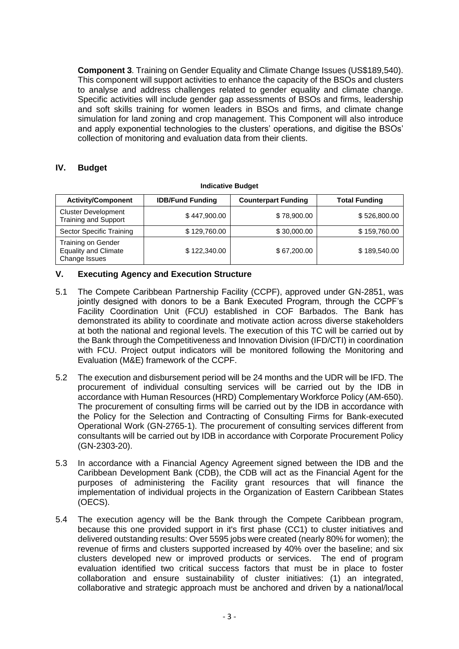**Component 3**. Training on Gender Equality and Climate Change Issues (US\$189,540). This component will support activities to enhance the capacity of the BSOs and clusters to analyse and address challenges related to gender equality and climate change. Specific activities will include gender gap assessments of BSOs and firms, leadership and soft skills training for women leaders in BSOs and firms, and climate change simulation for land zoning and crop management. This Component will also introduce and apply exponential technologies to the clusters' operations, and digitise the BSOs' collection of monitoring and evaluation data from their clients.

## **IV. Budget**

| <b>Activity/Component</b>                                          | <b>IDB/Fund Funding</b> | <b>Counterpart Funding</b> | <b>Total Funding</b> |
|--------------------------------------------------------------------|-------------------------|----------------------------|----------------------|
| <b>Cluster Development</b><br><b>Training and Support</b>          | \$447,900.00            | \$78,900.00                | \$526,800.00         |
| Sector Specific Training                                           | \$129,760.00            | \$30,000.00                | \$159,760.00         |
| Training on Gender<br><b>Equality and Climate</b><br>Change Issues | \$122,340.00            | \$67,200.00                | \$189,540.00         |

#### **Indicative Budget**

## **V. Executing Agency and Execution Structure**

- 5.1 The Compete Caribbean Partnership Facility (CCPF), approved under GN-2851, was jointly designed with donors to be a Bank Executed Program, through the CCPF's Facility Coordination Unit (FCU) established in COF Barbados. The Bank has demonstrated its ability to coordinate and motivate action across diverse stakeholders at both the national and regional levels. The execution of this TC will be carried out by the Bank through the Competitiveness and Innovation Division (IFD/CTI) in coordination with FCU. Project output indicators will be monitored following the Monitoring and Evaluation (M&E) framework of the CCPF.
- 5.2 The execution and disbursement period will be 24 months and the UDR will be IFD. The procurement of individual consulting services will be carried out by the IDB in accordance with Human Resources (HRD) Complementary Workforce Policy (AM-650). The procurement of consulting firms will be carried out by the IDB in accordance with the Policy for the Selection and Contracting of Consulting Firms for Bank-executed Operational Work (GN-2765-1). The procurement of consulting services different from consultants will be carried out by IDB in accordance with Corporate Procurement Policy (GN-2303-20).
- 5.3 In accordance with a Financial Agency Agreement signed between the IDB and the Caribbean Development Bank (CDB), the CDB will act as the Financial Agent for the purposes of administering the Facility grant resources that will finance the implementation of individual projects in the Organization of Eastern Caribbean States (OECS).
- 5.4 The execution agency will be the Bank through the Compete Caribbean program, because this one provided support in it's first phase (CC1) to cluster initiatives and delivered outstanding results: Over 5595 jobs were created (nearly 80% for women); the revenue of firms and clusters supported increased by 40% over the baseline; and six clusters developed new or improved products or services. The end of program evaluation identified two critical success factors that must be in place to foster collaboration and ensure sustainability of cluster initiatives: (1) an integrated, collaborative and strategic approach must be anchored and driven by a national/local